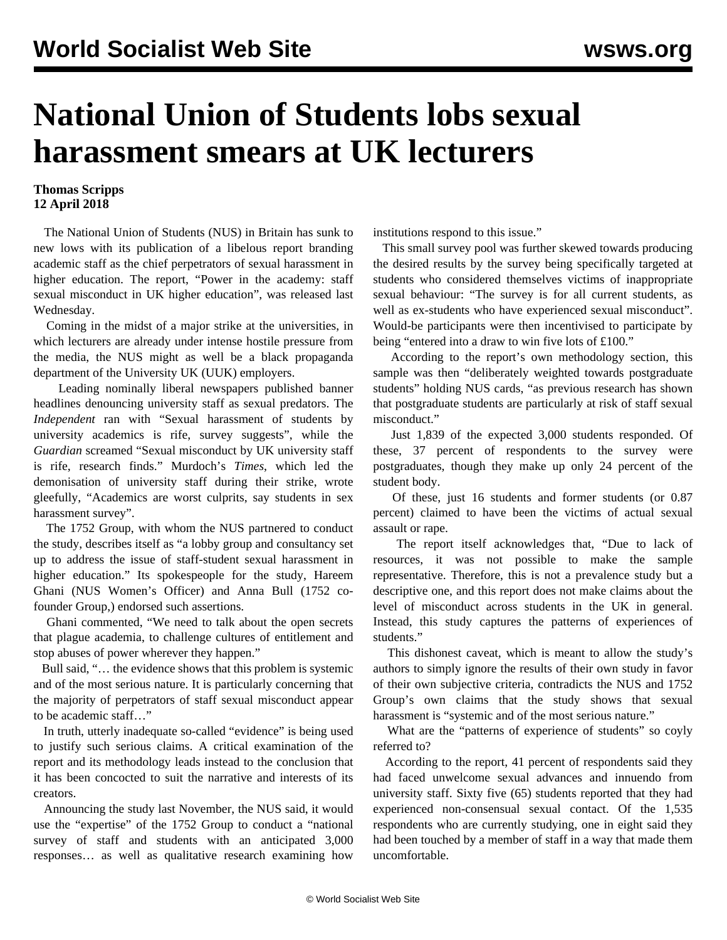## **National Union of Students lobs sexual harassment smears at UK lecturers**

## **Thomas Scripps 12 April 2018**

 The National Union of Students (NUS) in Britain has sunk to new lows with its publication of a libelous report branding academic staff as the chief perpetrators of sexual harassment in higher education. The report, "Power in the academy: staff sexual misconduct in UK higher education", was released last Wednesday.

 Coming in the midst of a major strike at the universities, in which lecturers are already under intense hostile pressure from the media, the NUS might as well be a black propaganda department of the University UK (UUK) employers.

 Leading nominally liberal newspapers published banner headlines denouncing university staff as sexual predators. The *Independent* ran with "Sexual harassment of students by university academics is rife, survey suggests", while the *Guardian* screamed "Sexual misconduct by UK university staff is rife, research finds." Murdoch's *Times*, which led the demonisation of university staff during their strike, wrote gleefully, "Academics are worst culprits, say students in sex harassment survey".

 The 1752 Group, with whom the NUS partnered to conduct the study, describes itself as "a lobby group and consultancy set up to address the issue of staff-student sexual harassment in higher education." Its spokespeople for the study, Hareem Ghani (NUS Women's Officer) and Anna Bull (1752 cofounder Group,) endorsed such assertions.

 Ghani commented, "We need to talk about the open secrets that plague academia, to challenge cultures of entitlement and stop abuses of power wherever they happen."

 Bull said, "… the evidence shows that this problem is systemic and of the most serious nature. It is particularly concerning that the majority of perpetrators of staff sexual misconduct appear to be academic staff…"

 In truth, utterly inadequate so-called "evidence" is being used to justify such serious claims. A critical examination of the report and its methodology leads instead to the conclusion that it has been concocted to suit the narrative and interests of its creators.

 Announcing the study last November, the NUS said, it would use the "expertise" of the 1752 Group to conduct a "national survey of staff and students with an anticipated 3,000 responses… as well as qualitative research examining how institutions respond to this issue."

 This small survey pool was further skewed towards producing the desired results by the survey being specifically targeted at students who considered themselves victims of inappropriate sexual behaviour: "The survey is for all current students, as well as ex-students who have experienced sexual misconduct". Would-be participants were then incentivised to participate by being "entered into a draw to win five lots of £100."

 According to the report's own methodology section, this sample was then "deliberately weighted towards postgraduate students" holding NUS cards, "as previous research has shown that postgraduate students are particularly at risk of staff sexual misconduct."

 Just 1,839 of the expected 3,000 students responded. Of these, 37 percent of respondents to the survey were postgraduates, though they make up only 24 percent of the student body.

 Of these, just 16 students and former students (or 0.87 percent) claimed to have been the victims of actual sexual assault or rape.

 The report itself acknowledges that, "Due to lack of resources, it was not possible to make the sample representative. Therefore, this is not a prevalence study but a descriptive one, and this report does not make claims about the level of misconduct across students in the UK in general. Instead, this study captures the patterns of experiences of students."

 This dishonest caveat, which is meant to allow the study's authors to simply ignore the results of their own study in favor of their own subjective criteria, contradicts the NUS and 1752 Group's own claims that the study shows that sexual harassment is "systemic and of the most serious nature."

 What are the "patterns of experience of students" so coyly referred to?

 According to the report, 41 percent of respondents said they had faced unwelcome sexual advances and innuendo from university staff. Sixty five (65) students reported that they had experienced non-consensual sexual contact. Of the 1,535 respondents who are currently studying, one in eight said they had been touched by a member of staff in a way that made them uncomfortable.